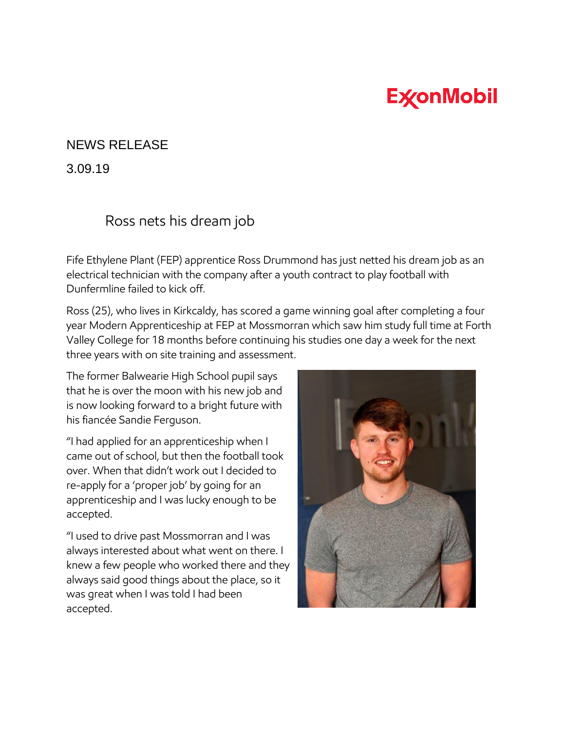## **ExconMobil**

## NEWS RELEASE

3.09.19

## Ross nets his dream job

Fife Ethylene Plant (FEP) apprentice Ross Drummond has just netted his dream job as an electrical technician with the company after a youth contract to play football with Dunfermline failed to kick off.

Ross (25), who lives in Kirkcaldy, has scored a game winning goal after completing a four year Modern Apprenticeship at FEP at Mossmorran which saw him study full time at Forth Valley College for 18 months before continuing his studies one day a week for the next three years with on site training and assessment.

The former Balwearie High School pupil says that he is over the moon with his new job and is now looking forward to a bright future with his fiancée Sandie Ferguson.

"I had applied for an apprenticeship when I came out of school, but then the football took over. When that didn't work out I decided to re-apply for a 'proper job' by going for an apprenticeship and I was lucky enough to be accepted.

"I used to drive past Mossmorran and I was always interested about what went on there. I knew a few people who worked there and they always said good things about the place, so it was great when I was told I had been accepted.